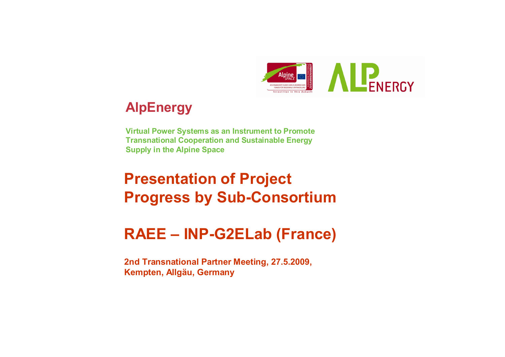

## **AlpEnergy**

**Virtual Power Systems as an Instrument to Promote Transnational Cooperation and Sustainable Energy Supply in the Alpine Space**

# **Presentation of Project Progress by Sub-Consortium**

# **RAEE – INP-G2ELab (France)**

**2nd Transnational Partner Meeting, 27.5.2009, Kempten, Allgäu, Germany**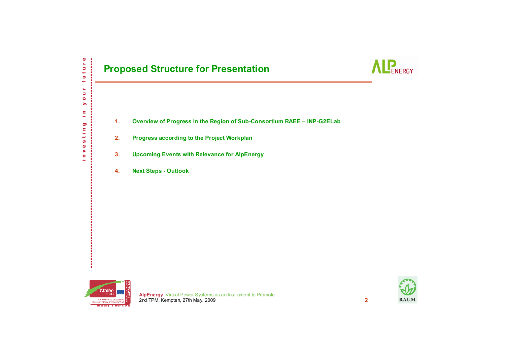### **Proposed Structure for Presentation**



- **1.Overview of Progress in the Region of Sub-Consortium RAEE – INP-G2ELab**
- **2.Progress according to the Project Workplan**
- **3.Upcoming Events with Relevance for AlpEnergy**
- **4.Next Steps - Outlook**



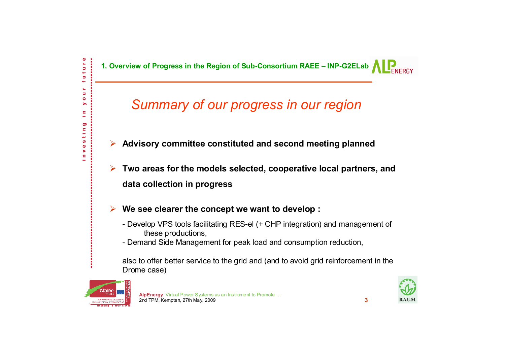**1. Overview of Progress in the Region of Sub-Consortium RAEE – INP-G2ELab**

## *Summary of our progress in our region*

- ¾ **Advisory committee constituted and second meeting planned**
- ¾ **Two areas for the models selected, cooperative local partners, and data collection in progress**
- ¾ **We see clearer the concept we want to develop :** 
	- Develop VPS tools facilitating RES-el (+ CHP integration) and management of these productions,
	- Demand Side Management for peak load and consumption reduction,

also to offer better service to the grid and (and to avoid grid reinforcement in the Drome case)



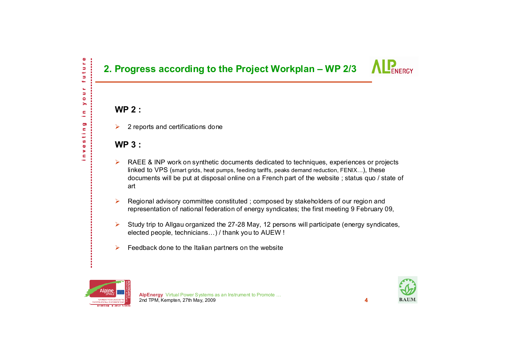### **2. Progress according to the Project Workplan – WP 2/3**

### **WP 2 :**

 $\mathbf{e}$ ē Ь

ĥ, Ь  $\bullet$ ⋋ c ÷ Ō)  $\blacksquare$ ÷ مها ဖာ  $\bullet$ × c

¾2 reports and certifications done

### **WP 3 :**

- ¾ RAEE & INP work on synthetic documents dedicated to techniques, experiences or projects linked to VPS (smart grids, heat pumps, feeding tariffs, peaks demand reduction, FENIX...), these documents will be put at disposal online on a French part of the website ; status quo / state of art
- ¾ Regional advisory committee constituted ; composed by stakeholders of our region and representation of national federation of energy syndicates; the first meeting 9 February 09,
- ¾ Study trip to Allgau organized the 27-28 May, 12 persons will participate (energy syndicates, elected people, technicians…) / thank you to AUEW !
- $\blacktriangleright$ Feedback done to the Italian partners on the website



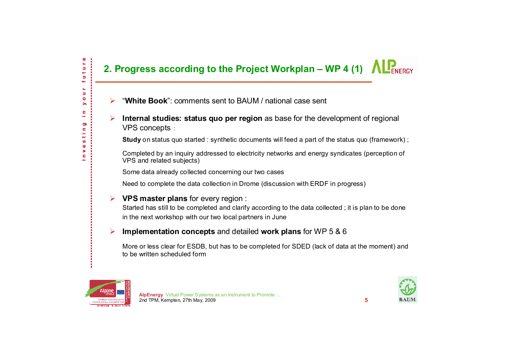## **2. Progress according to the Project Workplan – WP 4 (1)**  $\Lambda$  $\mathbb{R}_{\text{ERGY}}$

- ¾"**White Book**": comments sent to BAUM / national case sent
- ¾ **Internal studies: status quo per region** as base for the development of regional VPS concepts :

**Study** on status quo started : synthetic documents will feed a part of the status quo (framework) ;

Completed by an inquiry addressed to electricity networks and energy syndicates (perception of VPS and related subjects)

Some data already collected concerning our two cases

Need to complete the data collection in Drome (discussion with ERDF in progress)

#### ¾ **VPS master plans** for every region :

Started has still to be completed and clarify according to the data collected ; it is plan to be done in the next workshop with our two local partners in June

#### $\blacktriangleright$ **Implementation concepts** and detailed **work plans** for WP 5 & 6

More or less clear for ESDB, but has to be completed for SDED (lack of data at the moment) and to be written scheduled form



ture Ь ÷ ш o,  $\bullet$ > c,  $\overline{\phantom{a}}$ Ō) c ÷ À. ဖာ  $\bullet$ ь ċ

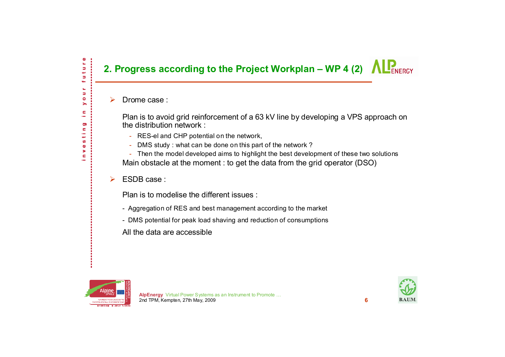### **2. Progress according to the Project Workplan – WP 4 (2) ALPENERGY**

#### ¾Drome case :

ture Ь

> ĥ, ь  $\bullet$

 $\blacksquare$ ÷ Ō)  $\blacksquare$ ÷ مي S  $\bullet$ > c

Plan is to avoid grid reinforcement of a 63 kV line by developing a VPS approach on the distribution network :

- RES-el and CHP potential on the network,
- DMS study : what can be done on this part of the network ?

- Then the model developed aims to highlight the best development of these two solutions Main obstacle at the moment : to get the data from the grid operator (DSO)

 $\blacktriangleright$ ESDB case :

Plan is to modelise the different issues :

- Aggregation of RES and best management according to the market
- DMS potential for peak load shaving and reduction of consumptions

All the data are accessible



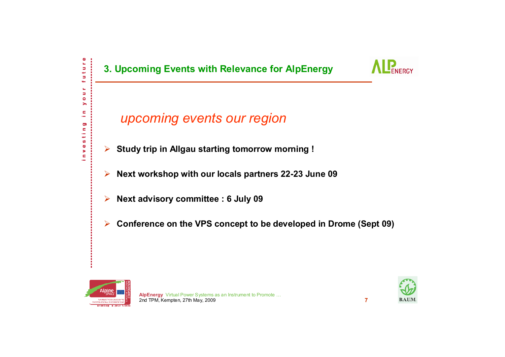

*upcoming events our region*

- $\blacktriangleright$ **Study trip in Allgau starting tomorrow morning !**
- ¾**Next workshop with our locals partners 22-23 June 09**
- ¾**Next advisory committee : 6 July 09**
- $\blacktriangleright$ **Conference on the VPS concept to be developed in Drome (Sept 09)**